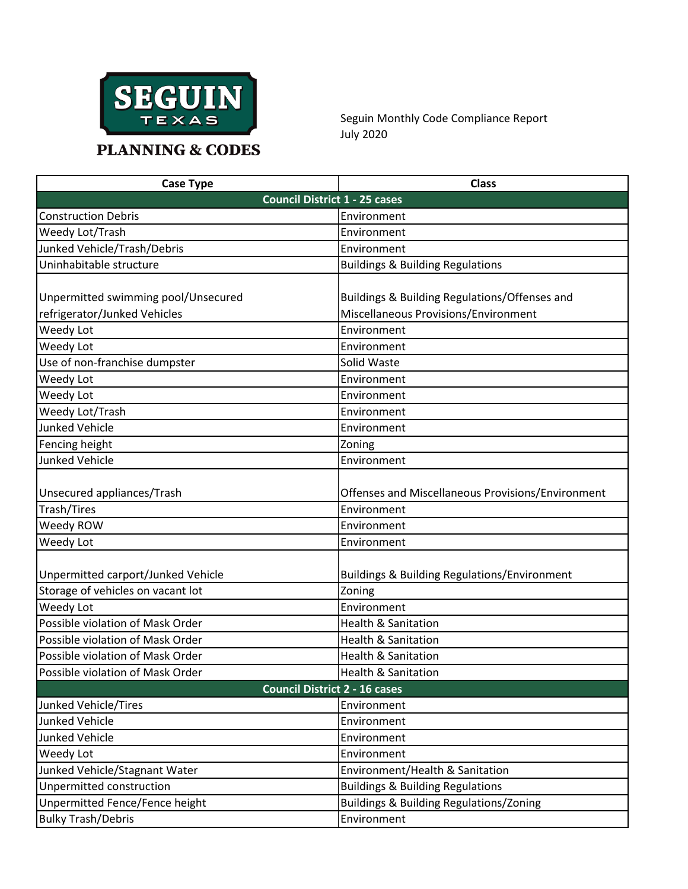

Seguin Monthly Code Compliance Report July 2020

| <b>PLANNING &amp; CODES</b> |  |
|-----------------------------|--|
|                             |  |

| <b>Case Type</b>                     | <b>Class</b>                                                |  |
|--------------------------------------|-------------------------------------------------------------|--|
| <b>Council District 1 - 25 cases</b> |                                                             |  |
| <b>Construction Debris</b>           | Environment                                                 |  |
| Weedy Lot/Trash                      | Environment                                                 |  |
| Junked Vehicle/Trash/Debris          | Environment                                                 |  |
| Uninhabitable structure              | <b>Buildings &amp; Building Regulations</b>                 |  |
| Unpermitted swimming pool/Unsecured  | Buildings & Building Regulations/Offenses and               |  |
| refrigerator/Junked Vehicles         | Miscellaneous Provisions/Environment                        |  |
| Weedy Lot                            | Environment                                                 |  |
| Weedy Lot                            | Environment                                                 |  |
| Use of non-franchise dumpster        | Solid Waste                                                 |  |
| Weedy Lot                            | Environment                                                 |  |
| Weedy Lot                            | Environment                                                 |  |
| Weedy Lot/Trash                      | Environment                                                 |  |
| Junked Vehicle                       | Environment                                                 |  |
| Fencing height                       | Zoning                                                      |  |
| Junked Vehicle                       | Environment                                                 |  |
| Unsecured appliances/Trash           | Offenses and Miscellaneous Provisions/Environment           |  |
| Trash/Tires                          | Environment                                                 |  |
| Weedy ROW                            | Environment                                                 |  |
| Weedy Lot                            | Environment                                                 |  |
| Unpermitted carport/Junked Vehicle   | Buildings & Building Regulations/Environment                |  |
| Storage of vehicles on vacant lot    | Zoning                                                      |  |
| Weedy Lot                            | Environment                                                 |  |
| Possible violation of Mask Order     | <b>Health &amp; Sanitation</b>                              |  |
| Possible violation of Mask Order     | <b>Health &amp; Sanitation</b>                              |  |
| Possible violation of Mask Order     |                                                             |  |
|                                      | <b>Health &amp; Sanitation</b>                              |  |
| Possible violation of Mask Order     | Health & Sanitation<br><b>Council District 2 - 16 cases</b> |  |
| Junked Vehicle/Tires                 | Environment                                                 |  |
| Junked Vehicle                       | Environment                                                 |  |
|                                      |                                                             |  |
| Junked Vehicle                       | Environment                                                 |  |
| Weedy Lot                            | Environment                                                 |  |
| Junked Vehicle/Stagnant Water        | Environment/Health & Sanitation                             |  |
| Unpermitted construction             | <b>Buildings &amp; Building Regulations</b>                 |  |
| Unpermitted Fence/Fence height       | <b>Buildings &amp; Building Regulations/Zoning</b>          |  |
| <b>Bulky Trash/Debris</b>            | Environment                                                 |  |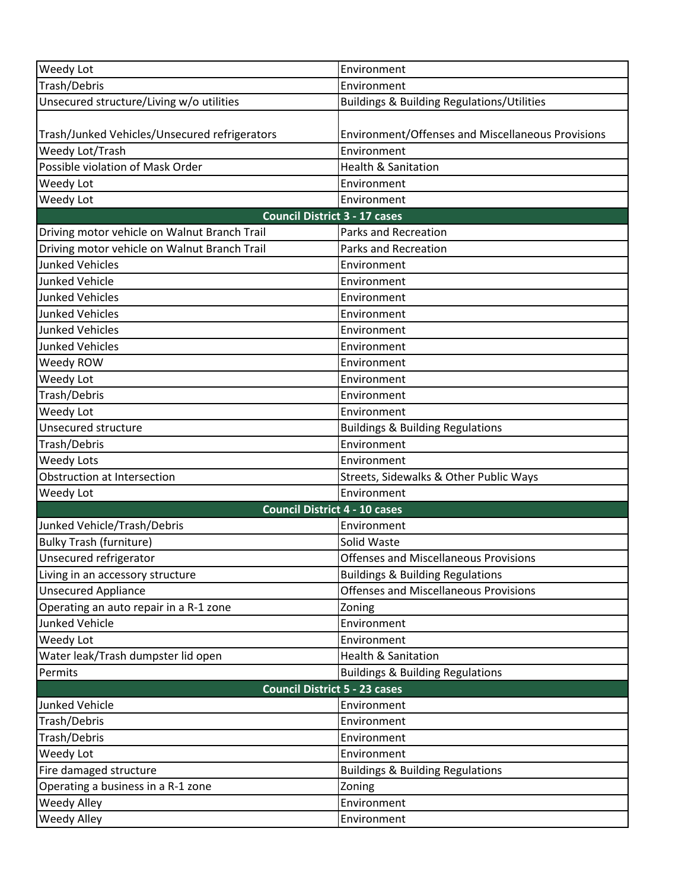| Weedy Lot                                     | Environment                                           |  |
|-----------------------------------------------|-------------------------------------------------------|--|
| Trash/Debris                                  | Environment                                           |  |
| Unsecured structure/Living w/o utilities      | <b>Buildings &amp; Building Regulations/Utilities</b> |  |
|                                               |                                                       |  |
| Trash/Junked Vehicles/Unsecured refrigerators | Environment/Offenses and Miscellaneous Provisions     |  |
| Weedy Lot/Trash                               | Environment                                           |  |
| Possible violation of Mask Order              | <b>Health &amp; Sanitation</b>                        |  |
| Weedy Lot                                     | Environment                                           |  |
| Weedy Lot                                     | Environment                                           |  |
| <b>Council District 3 - 17 cases</b>          |                                                       |  |
| Driving motor vehicle on Walnut Branch Trail  | <b>Parks and Recreation</b>                           |  |
| Driving motor vehicle on Walnut Branch Trail  | Parks and Recreation                                  |  |
| <b>Junked Vehicles</b>                        | Environment                                           |  |
| <b>Junked Vehicle</b>                         | Environment                                           |  |
| <b>Junked Vehicles</b>                        | Environment                                           |  |
| <b>Junked Vehicles</b>                        | Environment                                           |  |
| <b>Junked Vehicles</b>                        | Environment                                           |  |
| <b>Junked Vehicles</b>                        | Environment                                           |  |
| Weedy ROW                                     | Environment                                           |  |
| Weedy Lot                                     | Environment                                           |  |
| Trash/Debris                                  | Environment                                           |  |
| Weedy Lot                                     | Environment                                           |  |
| Unsecured structure                           | <b>Buildings &amp; Building Regulations</b>           |  |
| Trash/Debris                                  | Environment                                           |  |
| <b>Weedy Lots</b>                             | Environment                                           |  |
| Obstruction at Intersection                   | Streets, Sidewalks & Other Public Ways                |  |
| Weedy Lot                                     | Environment                                           |  |
| <b>Council District 4 - 10 cases</b>          |                                                       |  |
| Junked Vehicle/Trash/Debris                   | Environment                                           |  |
| <b>Bulky Trash (furniture)</b>                | Solid Waste                                           |  |
| Unsecured refrigerator                        | <b>Offenses and Miscellaneous Provisions</b>          |  |
| Living in an accessory structure              | <b>Buildings &amp; Building Regulations</b>           |  |
| <b>Unsecured Appliance</b>                    | <b>Offenses and Miscellaneous Provisions</b>          |  |
| Operating an auto repair in a R-1 zone        | Zoning                                                |  |
| <b>Junked Vehicle</b>                         | Environment                                           |  |
| Weedy Lot                                     | Environment                                           |  |
| Water leak/Trash dumpster lid open            | Health & Sanitation                                   |  |
| Permits                                       | <b>Buildings &amp; Building Regulations</b>           |  |
| <b>Council District 5 - 23 cases</b>          |                                                       |  |
| <b>Junked Vehicle</b>                         | Environment                                           |  |
| Trash/Debris                                  | Environment                                           |  |
| Trash/Debris                                  | Environment                                           |  |
| Weedy Lot                                     | Environment                                           |  |
| Fire damaged structure                        | <b>Buildings &amp; Building Regulations</b>           |  |
| Operating a business in a R-1 zone            | Zoning                                                |  |
| Weedy Alley                                   | Environment                                           |  |
| Weedy Alley                                   | Environment                                           |  |
|                                               |                                                       |  |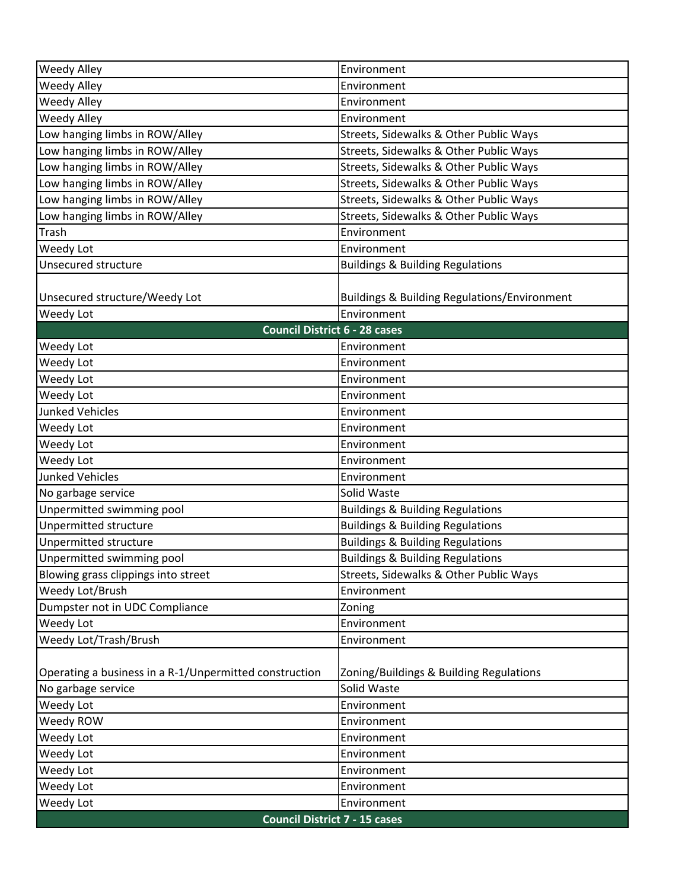| Weedy Alley                                            | Environment                                  |  |
|--------------------------------------------------------|----------------------------------------------|--|
| Weedy Alley                                            | Environment                                  |  |
| <b>Weedy Alley</b>                                     | Environment                                  |  |
| <b>Weedy Alley</b>                                     | Environment                                  |  |
| Low hanging limbs in ROW/Alley                         | Streets, Sidewalks & Other Public Ways       |  |
| Low hanging limbs in ROW/Alley                         | Streets, Sidewalks & Other Public Ways       |  |
| Low hanging limbs in ROW/Alley                         | Streets, Sidewalks & Other Public Ways       |  |
| Low hanging limbs in ROW/Alley                         | Streets, Sidewalks & Other Public Ways       |  |
| Low hanging limbs in ROW/Alley                         | Streets, Sidewalks & Other Public Ways       |  |
| Low hanging limbs in ROW/Alley                         | Streets, Sidewalks & Other Public Ways       |  |
| Trash                                                  | Environment                                  |  |
| Weedy Lot                                              | Environment                                  |  |
| Unsecured structure                                    | <b>Buildings &amp; Building Regulations</b>  |  |
|                                                        |                                              |  |
| Unsecured structure/Weedy Lot                          | Buildings & Building Regulations/Environment |  |
| Weedy Lot                                              | Environment                                  |  |
| <b>Council District 6 - 28 cases</b>                   |                                              |  |
| Weedy Lot                                              | Environment                                  |  |
| Weedy Lot                                              | Environment                                  |  |
| Weedy Lot                                              | Environment                                  |  |
| Weedy Lot                                              | Environment                                  |  |
| <b>Junked Vehicles</b>                                 | Environment                                  |  |
| Weedy Lot                                              | Environment                                  |  |
| Weedy Lot                                              | Environment                                  |  |
| Weedy Lot                                              | Environment                                  |  |
| <b>Junked Vehicles</b>                                 | Environment                                  |  |
| No garbage service                                     | Solid Waste                                  |  |
| Unpermitted swimming pool                              | <b>Buildings &amp; Building Regulations</b>  |  |
| Unpermitted structure                                  | <b>Buildings &amp; Building Regulations</b>  |  |
| Unpermitted structure                                  | <b>Buildings &amp; Building Regulations</b>  |  |
| Unpermitted swimming pool                              | <b>Buildings &amp; Building Regulations</b>  |  |
| Blowing grass clippings into street                    | Streets, Sidewalks & Other Public Ways       |  |
| Weedy Lot/Brush                                        | Environment                                  |  |
| Dumpster not in UDC Compliance                         | Zoning                                       |  |
| Weedy Lot                                              | Environment                                  |  |
| Weedy Lot/Trash/Brush                                  | Environment                                  |  |
|                                                        |                                              |  |
| Operating a business in a R-1/Unpermitted construction | Zoning/Buildings & Building Regulations      |  |
| No garbage service                                     | Solid Waste                                  |  |
| Weedy Lot                                              | Environment                                  |  |
| Weedy ROW                                              | Environment                                  |  |
| Weedy Lot                                              | Environment                                  |  |
| Weedy Lot                                              | Environment                                  |  |
| Weedy Lot                                              | Environment                                  |  |
| Weedy Lot                                              | Environment                                  |  |
| Weedy Lot                                              | Environment                                  |  |
| <b>Council District 7 - 15 cases</b>                   |                                              |  |